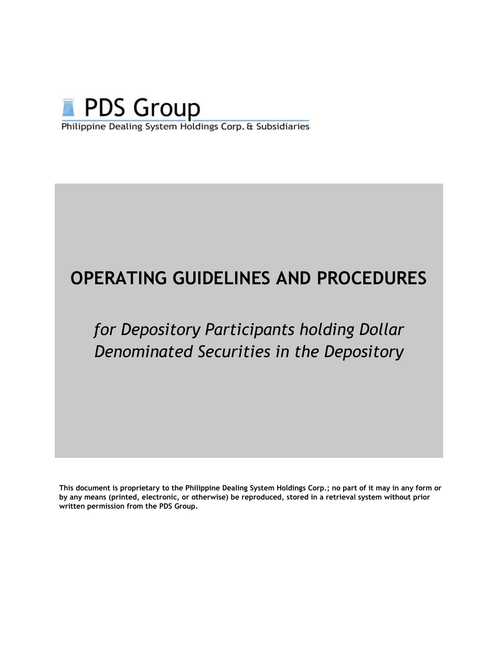

# **OPERATING GUIDELINES AND PROCEDURES**

# *for Depository Participants holding Dollar Denominated Securities in the Depository*

**This document is proprietary to the Philippine Dealing System Holdings Corp.; no part of it may in any form or by any means (printed, electronic, or otherwise) be reproduced, stored in a retrieval system without prior written permission from the PDS Group.**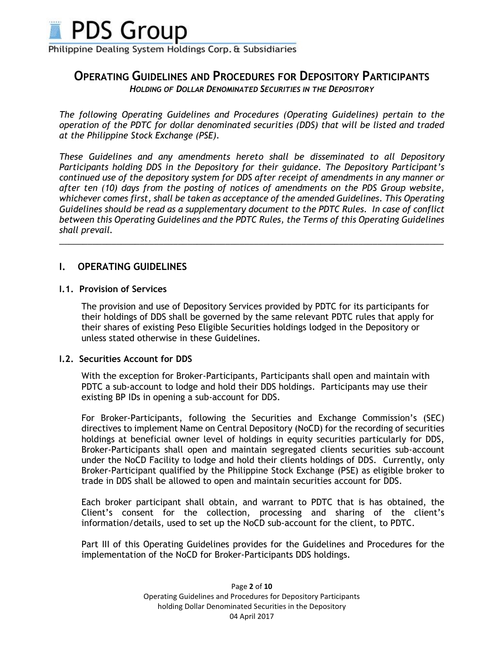

# **OPERATING GUIDELINES AND PROCEDURES FOR DEPOSITORY PARTICIPANTS**

*HOLDING OF DOLLAR DENOMINATED SECURITIES IN THE DEPOSITORY*

*The following Operating Guidelines and Procedures (Operating Guidelines) pertain to the operation of the PDTC for dollar denominated securities (DDS) that will be listed and traded at the Philippine Stock Exchange (PSE).*

*These Guidelines and any amendments hereto shall be disseminated to all Depository Participants holding DDS in the Depository for their guidance. The Depository Participant's continued use of the depository system for DDS after receipt of amendments in any manner or after ten (10) days from the posting of notices of amendments on the PDS Group website, whichever comes first, shall be taken as acceptance of the amended Guidelines*. *This Operating Guidelines should be read as a supplementary document to the PDTC Rules. In case of conflict between this Operating Guidelines and the PDTC Rules, the Terms of this Operating Guidelines shall prevail.* 

\_\_\_\_\_\_\_\_\_\_\_\_\_\_\_\_\_\_\_\_\_\_\_\_\_\_\_\_\_\_\_\_\_\_\_\_\_\_\_\_\_\_\_\_\_\_\_\_\_\_\_\_\_\_\_\_\_\_\_\_\_\_\_\_\_\_\_\_\_\_\_\_\_\_\_\_\_\_\_\_\_

## **I. OPERATING GUIDELINES**

#### **I.1. Provision of Services**

The provision and use of Depository Services provided by PDTC for its participants for their holdings of DDS shall be governed by the same relevant PDTC rules that apply for their shares of existing Peso Eligible Securities holdings lodged in the Depository or unless stated otherwise in these Guidelines.

#### **I.2. Securities Account for DDS**

With the exception for Broker-Participants, Participants shall open and maintain with PDTC a sub-account to lodge and hold their DDS holdings. Participants may use their existing BP IDs in opening a sub-account for DDS.

For Broker-Participants, following the Securities and Exchange Commission's (SEC) directives to implement Name on Central Depository (NoCD) for the recording of securities holdings at beneficial owner level of holdings in equity securities particularly for DDS, Broker-Participants shall open and maintain segregated clients securities sub-account under the NoCD Facility to lodge and hold their clients holdings of DDS. Currently, only Broker-Participant qualified by the Philippine Stock Exchange (PSE) as eligible broker to trade in DDS shall be allowed to open and maintain securities account for DDS.

Each broker participant shall obtain, and warrant to PDTC that is has obtained, the Client's consent for the collection, processing and sharing of the client's information/details, used to set up the NoCD sub-account for the client, to PDTC.

Part III of this Operating Guidelines provides for the Guidelines and Procedures for the implementation of the NoCD for Broker-Participants DDS holdings.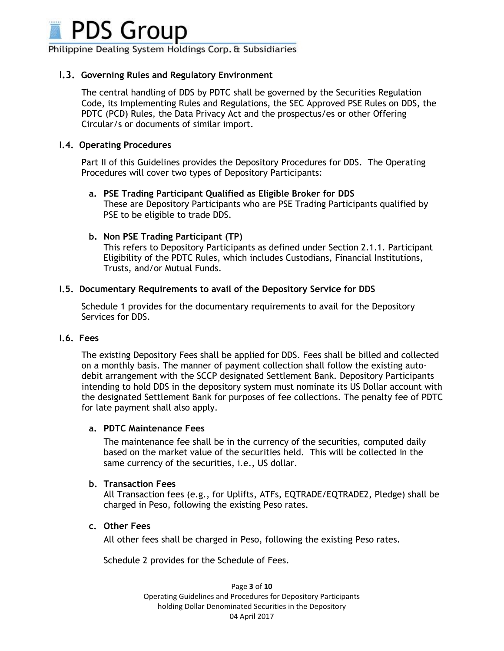

## **I.3. Governing Rules and Regulatory Environment**

The central handling of DDS by PDTC shall be governed by the Securities Regulation Code, its Implementing Rules and Regulations, the SEC Approved PSE Rules on DDS, the PDTC (PCD) Rules, the Data Privacy Act and the prospectus/es or other Offering Circular/s or documents of similar import.

## **I.4. Operating Procedures**

Part II of this Guidelines provides the Depository Procedures for DDS. The Operating Procedures will cover two types of Depository Participants:

## **a. PSE Trading Participant Qualified as Eligible Broker for DDS**

These are Depository Participants who are PSE Trading Participants qualified by PSE to be eligible to trade DDS.

## **b. Non PSE Trading Participant (TP)**

This refers to Depository Participants as defined under Section 2.1.1. Participant Eligibility of the PDTC Rules, which includes Custodians, Financial Institutions, Trusts, and/or Mutual Funds.

## **I.5. Documentary Requirements to avail of the Depository Service for DDS**

Schedule 1 provides for the documentary requirements to avail for the Depository Services for DDS.

## **I.6. Fees**

The existing Depository Fees shall be applied for DDS. Fees shall be billed and collected on a monthly basis. The manner of payment collection shall follow the existing autodebit arrangement with the SCCP designated Settlement Bank. Depository Participants intending to hold DDS in the depository system must nominate its US Dollar account with the designated Settlement Bank for purposes of fee collections. The penalty fee of PDTC for late payment shall also apply.

## **a. PDTC Maintenance Fees**

The maintenance fee shall be in the currency of the securities, computed daily based on the market value of the securities held. This will be collected in the same currency of the securities, i.e., US dollar.

## **b. Transaction Fees**

All Transaction fees (e.g., for Uplifts, ATFs, EQTRADE/EQTRADE2, Pledge) shall be charged in Peso, following the existing Peso rates.

## **c. Other Fees**

All other fees shall be charged in Peso, following the existing Peso rates.

Schedule 2 provides for the Schedule of Fees.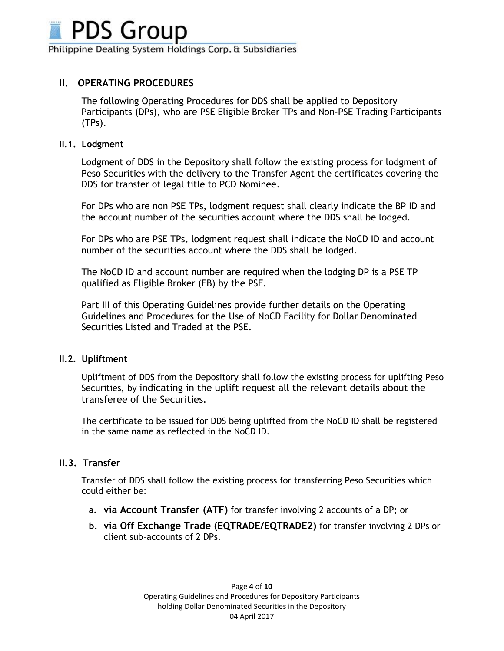

# **II. OPERATING PROCEDURES**

The following Operating Procedures for DDS shall be applied to Depository Participants (DPs), who are PSE Eligible Broker TPs and Non-PSE Trading Participants (TPs).

## **II.1. Lodgment**

Lodgment of DDS in the Depository shall follow the existing process for lodgment of Peso Securities with the delivery to the Transfer Agent the certificates covering the DDS for transfer of legal title to PCD Nominee.

For DPs who are non PSE TPs, lodgment request shall clearly indicate the BP ID and the account number of the securities account where the DDS shall be lodged.

For DPs who are PSE TPs, lodgment request shall indicate the NoCD ID and account number of the securities account where the DDS shall be lodged.

The NoCD ID and account number are required when the lodging DP is a PSE TP qualified as Eligible Broker (EB) by the PSE.

Part III of this Operating Guidelines provide further details on the Operating Guidelines and Procedures for the Use of NoCD Facility for Dollar Denominated Securities Listed and Traded at the PSE.

## **II.2. Upliftment**

Upliftment of DDS from the Depository shall follow the existing process for uplifting Peso Securities, by indicating in the uplift request all the relevant details about the transferee of the Securities.

The certificate to be issued for DDS being uplifted from the NoCD ID shall be registered in the same name as reflected in the NoCD ID.

## **II.3. Transfer**

Transfer of DDS shall follow the existing process for transferring Peso Securities which could either be:

- **a. via Account Transfer (ATF)** for transfer involving 2 accounts of a DP; or
- **b. via Off Exchange Trade (EQTRADE/EQTRADE2)** for transfer involving 2 DPs or client sub-accounts of 2 DPs.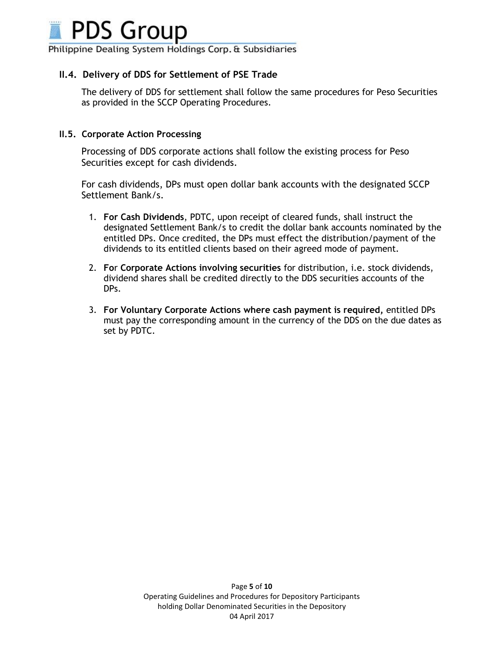

## **II.4. Delivery of DDS for Settlement of PSE Trade**

The delivery of DDS for settlement shall follow the same procedures for Peso Securities as provided in the SCCP Operating Procedures.

#### **II.5. Corporate Action Processing**

Processing of DDS corporate actions shall follow the existing process for Peso Securities except for cash dividends.

For cash dividends, DPs must open dollar bank accounts with the designated SCCP Settlement Bank/s.

- 1. **For Cash Dividends**, PDTC, upon receipt of cleared funds, shall instruct the designated Settlement Bank/s to credit the dollar bank accounts nominated by the entitled DPs. Once credited, the DPs must effect the distribution/payment of the dividends to its entitled clients based on their agreed mode of payment.
- 2. **Fo**r **Corporate Actions involving securities** for distribution, i.e. stock dividends, dividend shares shall be credited directly to the DDS securities accounts of the DPs.
- 3. **For Voluntary Corporate Actions where cash payment is required,** entitled DPs must pay the corresponding amount in the currency of the DDS on the due dates as set by PDTC.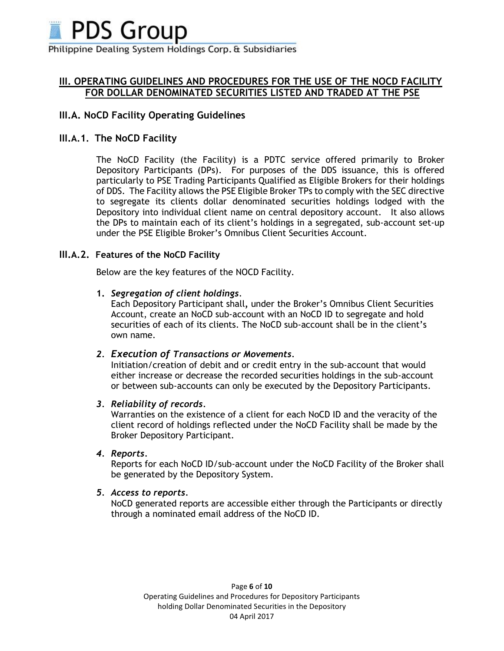

# **III. OPERATING GUIDELINES AND PROCEDURES FOR THE USE OF THE NOCD FACILITY FOR DOLLAR DENOMINATED SECURITIES LISTED AND TRADED AT THE PSE**

# **III.A. NoCD Facility Operating Guidelines**

# **III.A.1. The NoCD Facility**

The NoCD Facility (the Facility) is a PDTC service offered primarily to Broker Depository Participants (DPs). For purposes of the DDS issuance, this is offered particularly to PSE Trading Participants Qualified as Eligible Brokers for their holdings of DDS. The Facility allows the PSE Eligible Broker TPs to comply with the SEC directive to segregate its clients dollar denominated securities holdings lodged with the Depository into individual client name on central depository account. It also allows the DPs to maintain each of its client's holdings in a segregated, sub-account set-up under the PSE Eligible Broker's Omnibus Client Securities Account.

## **III.A.2. Features of the NoCD Facility**

Below are the key features of the NOCD Facility.

## **1.** *Segregation of client holdings*.

Each Depository Participant shall*,* under the Broker's Omnibus Client Securities Account, create an NoCD sub-account with an NoCD ID to segregate and hold securities of each of its clients. The NoCD sub-account shall be in the client's own name.

## *2. Execution of Transactions or Movements.*

Initiation/creation of debit and or credit entry in the sub-account that would either increase or decrease the recorded securities holdings in the sub-account or between sub-accounts can only be executed by the Depository Participants.

## *3. Reliability of records.*

Warranties on the existence of a client for each NoCD ID and the veracity of the client record of holdings reflected under the NoCD Facility shall be made by the Broker Depository Participant.

## *4. Reports.*

Reports for each NoCD ID/sub-account under the NoCD Facility of the Broker shall be generated by the Depository System.

## *5. Access to reports.*

NoCD generated reports are accessible either through the Participants or directly through a nominated email address of the NoCD ID.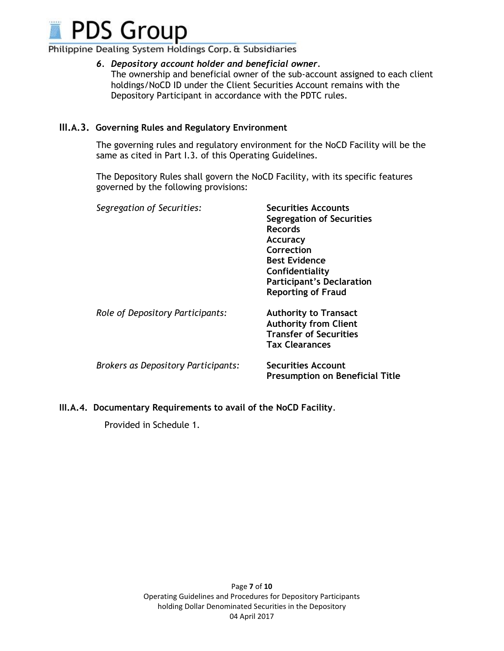

## *6. Depository account holder and beneficial owner.*

The ownership and beneficial owner of the sub-account assigned to each client holdings/NoCD ID under the Client Securities Account remains with the Depository Participant in accordance with the PDTC rules.

## **III.A.3. Governing Rules and Regulatory Environment**

The governing rules and regulatory environment for the NoCD Facility will be the same as cited in Part I.3. of this Operating Guidelines.

The Depository Rules shall govern the NoCD Facility, with its specific features governed by the following provisions:

| Segregation of Securities:          | <b>Securities Accounts</b><br><b>Segregation of Securities</b><br><b>Records</b><br><b>Accuracy</b><br>Correction<br><b>Best Evidence</b><br>Confidentiality<br><b>Participant's Declaration</b><br><b>Reporting of Fraud</b> |
|-------------------------------------|-------------------------------------------------------------------------------------------------------------------------------------------------------------------------------------------------------------------------------|
| Role of Depository Participants:    | <b>Authority to Transact</b><br><b>Authority from Client</b><br><b>Transfer of Securities</b><br><b>Tax Clearances</b>                                                                                                        |
| Brokers as Depository Participants: | <b>Securities Account</b><br><b>Presumption on Beneficial Title</b>                                                                                                                                                           |

**III.A.4. Documentary Requirements to avail of the NoCD Facility**.

Provided in Schedule 1.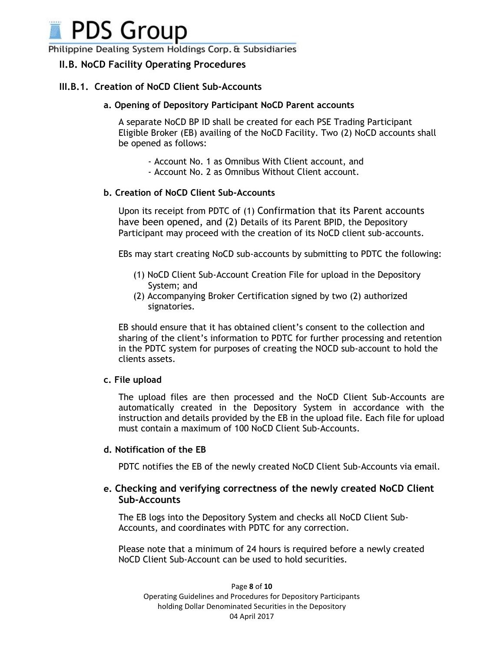

# **II.B. NoCD Facility Operating Procedures**

## **III.B.1. Creation of NoCD Client Sub-Accounts**

#### **a. Opening of Depository Participant NoCD Parent accounts**

A separate NoCD BP ID shall be created for each PSE Trading Participant Eligible Broker (EB) availing of the NoCD Facility. Two (2) NoCD accounts shall be opened as follows:

- Account No. 1 as Omnibus With Client account, and
- Account No. 2 as Omnibus Without Client account.

#### **b. Creation of NoCD Client Sub-Accounts**

Upon its receipt from PDTC of (1) Confirmation that its Parent accounts have been opened, and (2) Details of its Parent BPID, the Depository Participant may proceed with the creation of its NoCD client sub-accounts.

EBs may start creating NoCD sub-accounts by submitting to PDTC the following:

- (1) NoCD Client Sub-Account Creation File for upload in the Depository System; and
- (2) Accompanying Broker Certification signed by two (2) authorized signatories.

EB should ensure that it has obtained client's consent to the collection and sharing of the client's information to PDTC for further processing and retention in the PDTC system for purposes of creating the NOCD sub-account to hold the clients assets.

#### **c. File upload**

The upload files are then processed and the NoCD Client Sub-Accounts are automatically created in the Depository System in accordance with the instruction and details provided by the EB in the upload file. Each file for upload must contain a maximum of 100 NoCD Client Sub-Accounts.

#### **d. Notification of the EB**

PDTC notifies the EB of the newly created NoCD Client Sub-Accounts via email.

## **e. Checking and verifying correctness of the newly created NoCD Client Sub-Accounts**

The EB logs into the Depository System and checks all NoCD Client Sub-Accounts, and coordinates with PDTC for any correction.

Please note that a minimum of 24 hours is required before a newly created NoCD Client Sub-Account can be used to hold securities.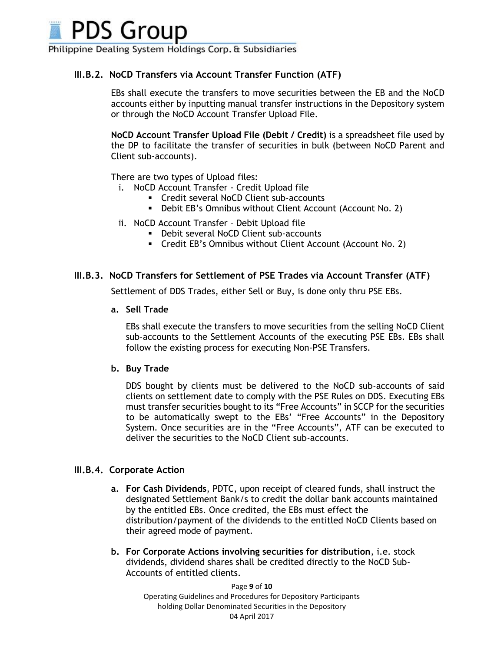**PDS Group** 

Philippine Dealing System Holdings Corp. & Subsidiaries

## **III.B.2. NoCD Transfers via Account Transfer Function (ATF)**

EBs shall execute the transfers to move securities between the EB and the NoCD accounts either by inputting manual transfer instructions in the Depository system or through the NoCD Account Transfer Upload File.

**NoCD Account Transfer Upload File (Debit / Credit)** is a spreadsheet file used by the DP to facilitate the transfer of securities in bulk (between NoCD Parent and Client sub-accounts).

There are two types of Upload files:

- i. NoCD Account Transfer Credit Upload file
	- Credit several NoCD Client sub-accounts
	- Debit EB's Omnibus without Client Account (Account No. 2)
- ii. NoCD Account Transfer Debit Upload file
	- **Debit several NoCD Client sub-accounts**
	- Credit EB's Omnibus without Client Account (Account No. 2)

## **III.B.3. NoCD Transfers for Settlement of PSE Trades via Account Transfer (ATF)**

Settlement of DDS Trades, either Sell or Buy, is done only thru PSE EBs.

**a. Sell Trade**

EBs shall execute the transfers to move securities from the selling NoCD Client sub-accounts to the Settlement Accounts of the executing PSE EBs. EBs shall follow the existing process for executing Non-PSE Transfers.

#### **b. Buy Trade**

DDS bought by clients must be delivered to the NoCD sub-accounts of said clients on settlement date to comply with the PSE Rules on DDS. Executing EBs must transfer securities bought to its "Free Accounts" in SCCP for the securities to be automatically swept to the EBs' "Free Accounts" in the Depository System. Once securities are in the "Free Accounts", ATF can be executed to deliver the securities to the NoCD Client sub-accounts.

## **III.B.4. Corporate Action**

- **a. For Cash Dividends**, PDTC, upon receipt of cleared funds, shall instruct the designated Settlement Bank/s to credit the dollar bank accounts maintained by the entitled EBs. Once credited, the EBs must effect the distribution/payment of the dividends to the entitled NoCD Clients based on their agreed mode of payment.
- **b. For Corporate Actions involving securities for distribution**, i.e. stock dividends, dividend shares shall be credited directly to the NoCD Sub-Accounts of entitled clients.

Page **9** of **10** Operating Guidelines and Procedures for Depository Participants holding Dollar Denominated Securities in the Depository 04 April 2017